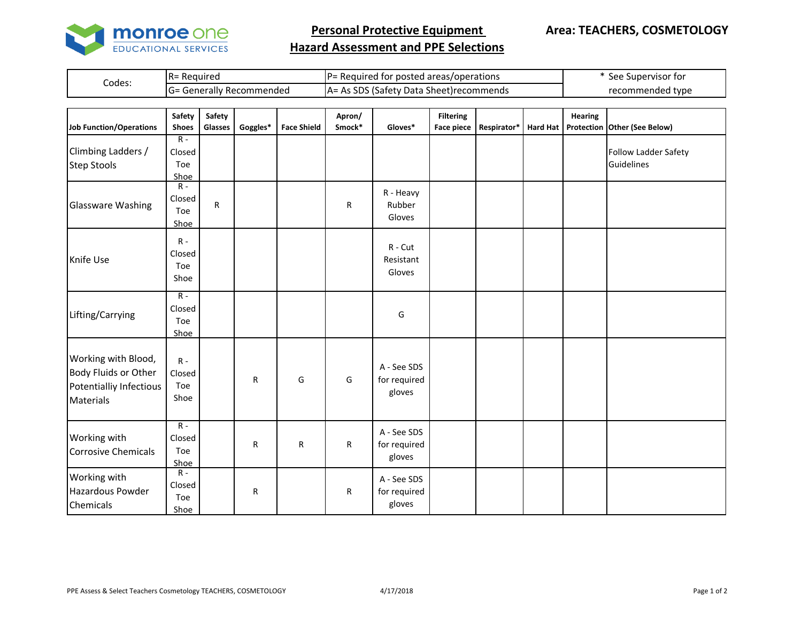

**Personal Protective Equipment** 

## **Hazard Assessment and PPE Selections**

|        | Required                   | l areas/operations<br>' for posted .<br>iuired<br>ים הו                  | . Supervisor for<br>ءہ<br>しせ |  |  |
|--------|----------------------------|--------------------------------------------------------------------------|------------------------------|--|--|
| Codes: | ienerally<br>7 Recommended | cnc.<br>)ata '<br>. LSatety '<br>a sheet)recom<br>mmends<br>$\mathbf{v}$ | ' type<br>recommen           |  |  |

| Job Function/Operations                                                             | Safety<br><b>Shoes</b>         | Safety<br><b>Glasses</b> | Goggles*  | <b>Face Shield</b> | Apron/<br>Smock* | Gloves*                               | <b>Filtering</b><br><b>Face piece</b> | Respirator* | <b>Hard Hat</b> | <b>Hearing</b> | Protection Other (See Below)       |
|-------------------------------------------------------------------------------------|--------------------------------|--------------------------|-----------|--------------------|------------------|---------------------------------------|---------------------------------------|-------------|-----------------|----------------|------------------------------------|
| Climbing Ladders /<br><b>Step Stools</b>                                            | $R -$<br>Closed<br>Toe<br>Shoe |                          |           |                    |                  |                                       |                                       |             |                 |                | Follow Ladder Safety<br>Guidelines |
| <b>Glassware Washing</b>                                                            | $R -$<br>Closed<br>Toe<br>Shoe | R                        |           |                    | R                | R - Heavy<br>Rubber<br>Gloves         |                                       |             |                 |                |                                    |
| Knife Use                                                                           | $R -$<br>Closed<br>Toe<br>Shoe |                          |           |                    |                  | R - Cut<br>Resistant<br>Gloves        |                                       |             |                 |                |                                    |
| Lifting/Carrying                                                                    | $R -$<br>Closed<br>Toe<br>Shoe |                          |           |                    |                  | G                                     |                                       |             |                 |                |                                    |
| Working with Blood,<br>Body Fluids or Other<br>Potentialliy Infectious<br>Materials | $R -$<br>Closed<br>Toe<br>Shoe |                          | ${\sf R}$ | G                  | G                | A - See SDS<br>for required<br>gloves |                                       |             |                 |                |                                    |
| Working with<br><b>Corrosive Chemicals</b>                                          | $R -$<br>Closed<br>Toe<br>Shoe |                          | ${\sf R}$ | $\mathsf R$        | R                | A - See SDS<br>for required<br>gloves |                                       |             |                 |                |                                    |
| Working with<br>Hazardous Powder<br>Chemicals                                       | $R -$<br>Closed<br>Toe<br>Shoe |                          | R         |                    | ${\sf R}$        | A - See SDS<br>for required<br>gloves |                                       |             |                 |                |                                    |